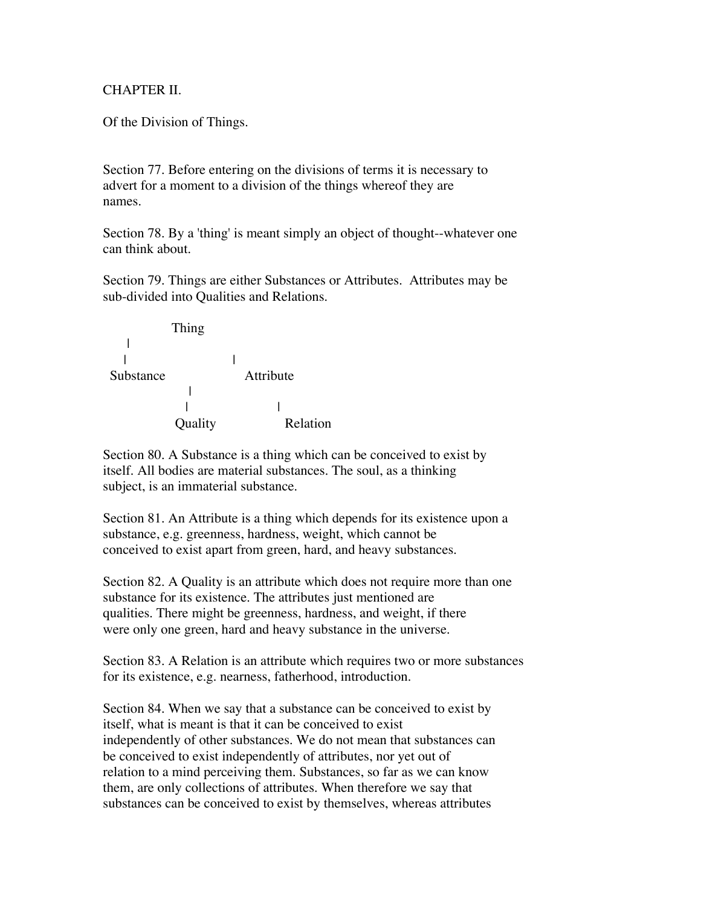## CHAPTER II.

Of the Division of Things.

Section 77. Before entering on the divisions of terms it is necessary to advert for a moment to a division of the things whereof they are names.

Section 78. By a 'thing' is meant simply an object of thought--whatever one can think about.

Section 79. Things are either Substances or Attributes. Attributes may be sub-divided into Qualities and Relations.



Section 80. A Substance is a thing which can be conceived to exist by itself. All bodies are material substances. The soul, as a thinking subject, is an immaterial substance.

Section 81. An Attribute is a thing which depends for its existence upon a substance, e.g. greenness, hardness, weight, which cannot be conceived to exist apart from green, hard, and heavy substances.

Section 82. A Quality is an attribute which does not require more than one substance for its existence. The attributes just mentioned are qualities. There might be greenness, hardness, and weight, if there were only one green, hard and heavy substance in the universe.

Section 83. A Relation is an attribute which requires two or more substances for its existence, e.g. nearness, fatherhood, introduction.

Section 84. When we say that a substance can be conceived to exist by itself, what is meant is that it can be conceived to exist independently of other substances. We do not mean that substances can be conceived to exist independently of attributes, nor yet out of relation to a mind perceiving them. Substances, so far as we can know them, are only collections of attributes. When therefore we say that substances can be conceived to exist by themselves, whereas attributes